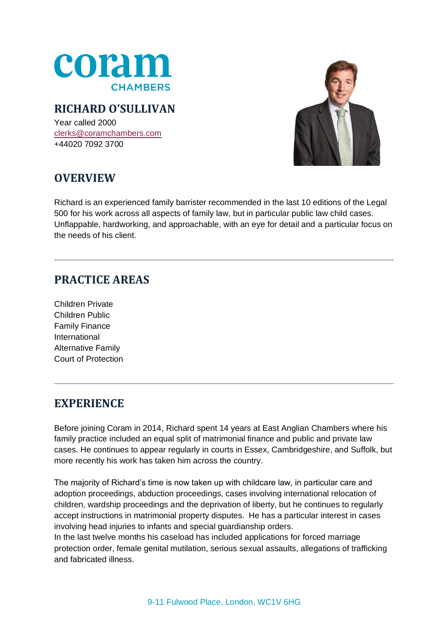

### **RICHARD O'SULLIVAN**

Year called 2000 [clerks@coramchambers.com](mailto:clerks@coramchambers.com) +44020 7092 3700



# **OVERVIEW**

Richard is an experienced family barrister recommended in the last 10 editions of the Legal 500 for his work across all aspects of family law, but in particular public law child cases. Unflappable, hardworking, and approachable, with an eye for detail and a particular focus on the needs of his client.

### **PRACTICE AREAS**

Children Private Children Public Family Finance International Alternative Family Court of Protection

## **EXPERIENCE**

Before joining Coram in 2014, Richard spent 14 years at East Anglian Chambers where his family practice included an equal split of matrimonial finance and public and private law cases. He continues to appear regularly in courts in Essex, Cambridgeshire, and Suffolk, but more recently his work has taken him across the country.

The majority of Richard's time is now taken up with childcare law, in particular care and adoption proceedings, abduction proceedings, cases involving international relocation of children, wardship proceedings and the deprivation of liberty, but he continues to regularly accept instructions in matrimonial property disputes. He has a particular interest in cases involving head injuries to infants and special guardianship orders.

In the last twelve months his caseload has included applications for forced marriage protection order, female genital mutilation, serious sexual assaults, allegations of trafficking and fabricated illness.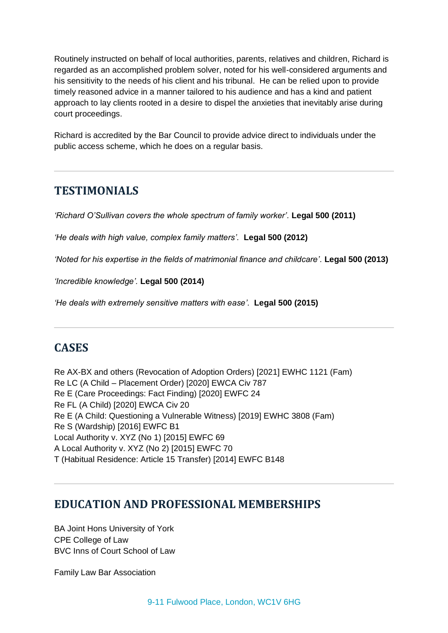Routinely instructed on behalf of local authorities, parents, relatives and children, Richard is regarded as an accomplished problem solver, noted for his well-considered arguments and his sensitivity to the needs of his client and his tribunal. He can be relied upon to provide timely reasoned advice in a manner tailored to his audience and has a kind and patient approach to lay clients rooted in a desire to dispel the anxieties that inevitably arise during court proceedings.

Richard is accredited by the Bar Council to provide advice direct to individuals under the public access scheme, which he does on a regular basis.

#### **TESTIMONIALS**

*'Richard O'Sullivan covers the whole spectrum of family worker'.* **Legal 500 (2011)**

*'He deals with high value, complex family matters'.* **Legal 500 (2012)**

*'Noted for his expertise in the fields of matrimonial finance and childcare'.* **Legal 500 (2013)**

*'Incredible knowledge'.* **Legal 500 (2014)**

*'He deals with extremely sensitive matters with ease'.* **Legal 500 (2015)**

## **CASES**

Re AX-BX and others (Revocation of Adoption Orders) [2021] EWHC 1121 (Fam) Re LC (A Child – Placement Order) [2020] EWCA Civ 787 Re E (Care Proceedings: Fact Finding) [2020] EWFC 24 Re FL (A Child) [2020] EWCA Civ 20 Re E (A Child: Questioning a Vulnerable Witness) [2019] EWHC 3808 (Fam) Re S (Wardship) [2016] EWFC B1 Local Authority v. XYZ (No 1) [2015] EWFC 69 A Local Authority v. XYZ (No 2) [2015] EWFC 70 T (Habitual Residence: Article 15 Transfer) [2014] EWFC B148

### **EDUCATION AND PROFESSIONAL MEMBERSHIPS**

BA Joint Hons University of York CPE College of Law BVC Inns of Court School of Law

Family Law Bar Association